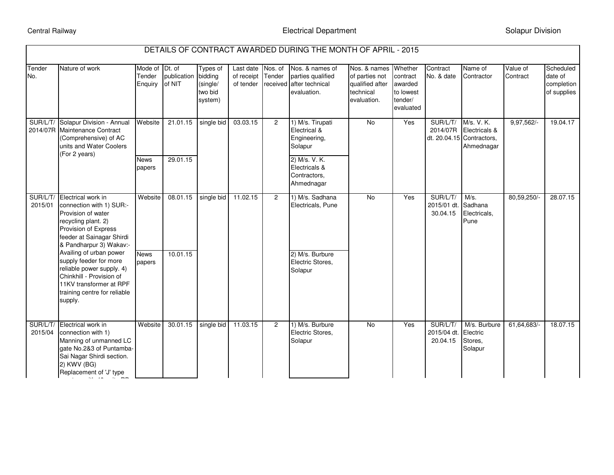## Central Railway

 $\mathcal{L}_{\mathcal{A}}$  , with  $\mathcal{A}_{\mathcal{B}}$  units  $\mathcal{A}_{\mathcal{B}}$  units  $\mathcal{B}_{\mathcal{B}}$ 

| DETAILS OF CONTRACT AWARDED DURING THE MONTH OF APRIL - 2015 |                                                                                                                                                                                                                                                                                                                                                                          |                                     |                               |                                            |                                      |                               |                                                                              |                                                                               |                                                                     |                                    |                                                                        |                      |                                                   |
|--------------------------------------------------------------|--------------------------------------------------------------------------------------------------------------------------------------------------------------------------------------------------------------------------------------------------------------------------------------------------------------------------------------------------------------------------|-------------------------------------|-------------------------------|--------------------------------------------|--------------------------------------|-------------------------------|------------------------------------------------------------------------------|-------------------------------------------------------------------------------|---------------------------------------------------------------------|------------------------------------|------------------------------------------------------------------------|----------------------|---------------------------------------------------|
| Tender<br>No.                                                | Nature of work                                                                                                                                                                                                                                                                                                                                                           | Mode of Dt. of<br>Tender<br>Enquiry | publication bidding<br>of NIT | Types of<br>(single/<br>two bid<br>system) | Last date<br>of receipt<br>of tender | Nos. of<br>Tender<br>received | Nos. & names of<br>parties qualified<br>after technical<br>evaluation.       | Nos. & names<br>of parties not<br>qualified after<br>technical<br>evaluation. | Whether<br>contract<br>awarded<br>to lowest<br>tender/<br>evaluated | Contract<br>No. & date             | Name of<br>Contractor                                                  | Value of<br>Contract | Scheduled<br>date of<br>completion<br>of supplies |
|                                                              | SUR/L/T/ Solapur Division - Annual<br>2014/07R Maintenance Contract<br>(Comprehensive) of AC<br>units and Water Coolers<br>(For 2 years)                                                                                                                                                                                                                                 | Website<br><b>News</b>              | 21.01.15<br>29.01.15          | single bid                                 | 03.03.15                             | $\overline{2}$                | 1) M/s. Tirupati<br>Electrical &<br>Engineering,<br>Solapur<br>2) M/s. V. K. | $\overline{N}$                                                                | Yes                                                                 | SUR/L/T/<br>2014/07R               | M/s. V. K.<br>Electricals &<br>dt. 20.04.15 Contractors,<br>Ahmednagar | 9,97,562             | 19.04.17                                          |
|                                                              |                                                                                                                                                                                                                                                                                                                                                                          | papers                              |                               |                                            |                                      |                               | Electricals &<br>Contractors,<br>Ahmednagar                                  |                                                                               |                                                                     |                                    |                                                                        |                      |                                                   |
| 2015/01                                                      | SUR/L/T/ Electrical work in<br>connection with 1) SUR:-<br>Provision of water<br>recycling plant. 2)<br>Provision of Express<br>feeder at Sainagar Shirdi<br>& Pandharpur 3) Wakav:-<br>Availing of urban power<br>supply feeder for more<br>reliable power supply. 4)<br>Chinkhill - Provision of<br>11KV transformer at RPF<br>training centre for reliable<br>supply. | Website                             | 08.01.15                      | single bid                                 | 11.02.15                             | $\overline{2}$                | 1) M/s. Sadhana<br>Electricals, Pune                                         | $\overline{N}$                                                                | Yes                                                                 | SUR/L/T/<br>2015/01 dt<br>30.04.15 | M/s.<br>Sadhana<br>Electricals,<br>Pune                                | 80,59,250/-          | 28.07.15                                          |
|                                                              |                                                                                                                                                                                                                                                                                                                                                                          | <b>News</b><br>papers               | 10.01.15                      |                                            |                                      |                               | 2) M/s. Burbure<br>Electric Stores,<br>Solapur                               |                                                                               |                                                                     |                                    |                                                                        |                      |                                                   |
| SUR/L/T/<br>2015/04                                          | Electrical work in<br>connection with 1)<br>Manning of unmanned LC<br>gate No.2&3 of Puntamba-<br>Sai Nagar Shirdi section.<br>2) KWV (BG)<br>Replacement of 'J' type                                                                                                                                                                                                    | Website                             | 30.01.15                      | single bid                                 | 11.03.15                             | $\overline{2}$                | 1) M/s. Burbure<br>Electric Stores,<br>Solapur                               | <b>No</b>                                                                     | Yes                                                                 | SUR/L/T/<br>2015/04 dt<br>20.04.15 | M/s. Burbure<br>Electric<br>Stores.<br>Solapur                         | 61,64,683/-          | 18.07.15                                          |